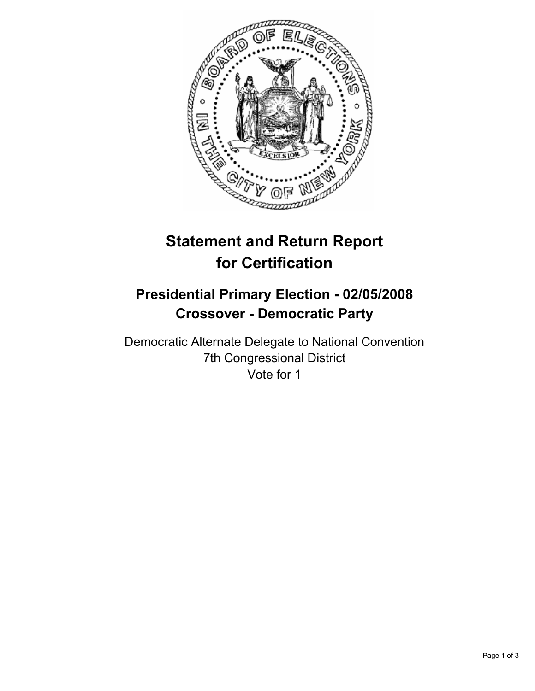

## **Statement and Return Report for Certification**

## **Presidential Primary Election - 02/05/2008 Crossover - Democratic Party**

Democratic Alternate Delegate to National Convention 7th Congressional District Vote for 1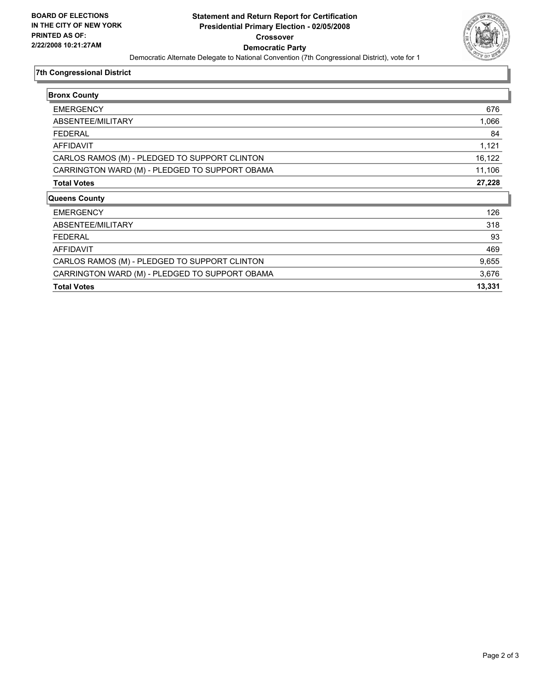

## **7th Congressional District**

| <b>Bronx County</b>                            |        |
|------------------------------------------------|--------|
| <b>EMERGENCY</b>                               | 676    |
| ABSENTEE/MILITARY                              | 1,066  |
| <b>FEDERAL</b>                                 | 84     |
| AFFIDAVIT                                      | 1,121  |
| CARLOS RAMOS (M) - PLEDGED TO SUPPORT CLINTON  | 16,122 |
| CARRINGTON WARD (M) - PLEDGED TO SUPPORT OBAMA | 11,106 |
| <b>Total Votes</b>                             | 27,228 |
| <b>Queens County</b>                           |        |
| <b>EMERGENCY</b>                               | 126    |
| ABSENTEE/MILITARY                              | 318    |
| <b>FEDERAL</b>                                 | 93     |
| AFFIDAVIT                                      | 469    |
| CARLOS RAMOS (M) - PLEDGED TO SUPPORT CLINTON  | 9,655  |
| CARRINGTON WARD (M) - PLEDGED TO SUPPORT OBAMA | 3,676  |
| <b>Total Votes</b>                             | 13,331 |